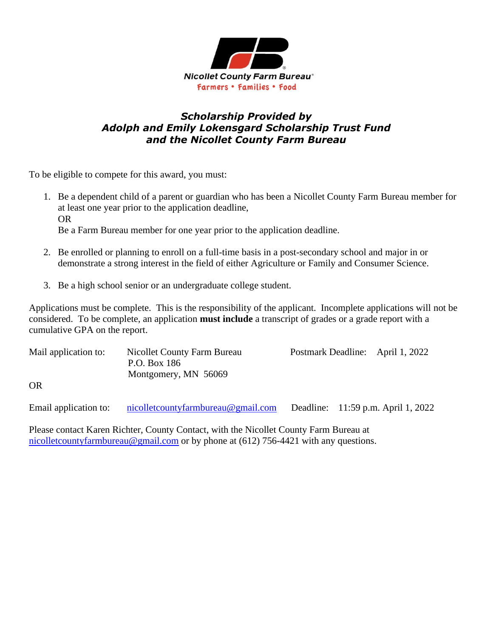

# *Scholarship Provided by Adolph and Emily Lokensgard Scholarship Trust Fund and the Nicollet County Farm Bureau*

To be eligible to compete for this award, you must:

- 1. Be a dependent child of a parent or guardian who has been a Nicollet County Farm Bureau member for at least one year prior to the application deadline, OR Be a Farm Bureau member for one year prior to the application deadline.
- 2. Be enrolled or planning to enroll on a full-time basis in a post-secondary school and major in or demonstrate a strong interest in the field of either Agriculture or Family and Consumer Science.
- 3. Be a high school senior or an undergraduate college student.

Applications must be complete. This is the responsibility of the applicant. Incomplete applications will not be considered. To be complete, an application **must include** a transcript of grades or a grade report with a cumulative GPA on the report.

| Mail application to:  | Nicollet County Farm Bureau<br>P.O. Box 186<br>Montgomery, MN 56069 |  | Postmark Deadline: April 1, 2022   |
|-----------------------|---------------------------------------------------------------------|--|------------------------------------|
| <b>OR</b>             |                                                                     |  |                                    |
| Email application to: | nicolletcountyfarmbureau@gmail.com                                  |  | Deadline: 11:59 p.m. April 1, 2022 |

Please contact Karen Richter, County Contact, with the Nicollet County Farm Bureau at [nicolletcountyfarmbureau@gmail.com](mailto:nicolletcountyfarmbureau@gmail.com) or by phone at (612) 756-4421 with any questions.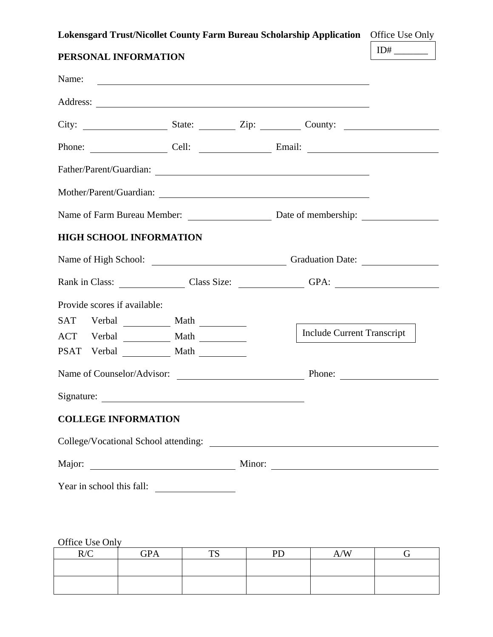**Lokensgard Trust/Nicollet County Farm Bureau Scholarship Application** Office Use Only

| PERSONAL INFORMATION                   | $ID#$ <sub>___________</sub>                                                                                                                                                                           |                                   |  |
|----------------------------------------|--------------------------------------------------------------------------------------------------------------------------------------------------------------------------------------------------------|-----------------------------------|--|
| Name:                                  |                                                                                                                                                                                                        |                                   |  |
|                                        |                                                                                                                                                                                                        |                                   |  |
|                                        |                                                                                                                                                                                                        |                                   |  |
| Phone: Cell: Cell: Email: Email: 2008. |                                                                                                                                                                                                        |                                   |  |
|                                        |                                                                                                                                                                                                        |                                   |  |
| Mother/Parent/Guardian:                |                                                                                                                                                                                                        |                                   |  |
|                                        |                                                                                                                                                                                                        |                                   |  |
| <b>HIGH SCHOOL INFORMATION</b>         |                                                                                                                                                                                                        |                                   |  |
|                                        |                                                                                                                                                                                                        |                                   |  |
|                                        |                                                                                                                                                                                                        |                                   |  |
| Provide scores if available:           |                                                                                                                                                                                                        |                                   |  |
|                                        |                                                                                                                                                                                                        |                                   |  |
|                                        |                                                                                                                                                                                                        | <b>Include Current Transcript</b> |  |
|                                        |                                                                                                                                                                                                        |                                   |  |
|                                        |                                                                                                                                                                                                        |                                   |  |
|                                        |                                                                                                                                                                                                        |                                   |  |
| <b>COLLEGE INFORMATION</b>             |                                                                                                                                                                                                        |                                   |  |
|                                        |                                                                                                                                                                                                        |                                   |  |
|                                        |                                                                                                                                                                                                        |                                   |  |
| Year in school this fall:              | $\overline{\phantom{a}}$ and $\overline{\phantom{a}}$ and $\overline{\phantom{a}}$ and $\overline{\phantom{a}}$ and $\overline{\phantom{a}}$ and $\overline{\phantom{a}}$ and $\overline{\phantom{a}}$ |                                   |  |

Office Use Only

| R/C | <b>GPA</b> | <b>TC</b> | <b>PD</b> | A/W |  |
|-----|------------|-----------|-----------|-----|--|
|     |            |           |           |     |  |
|     |            |           |           |     |  |
|     |            |           |           |     |  |